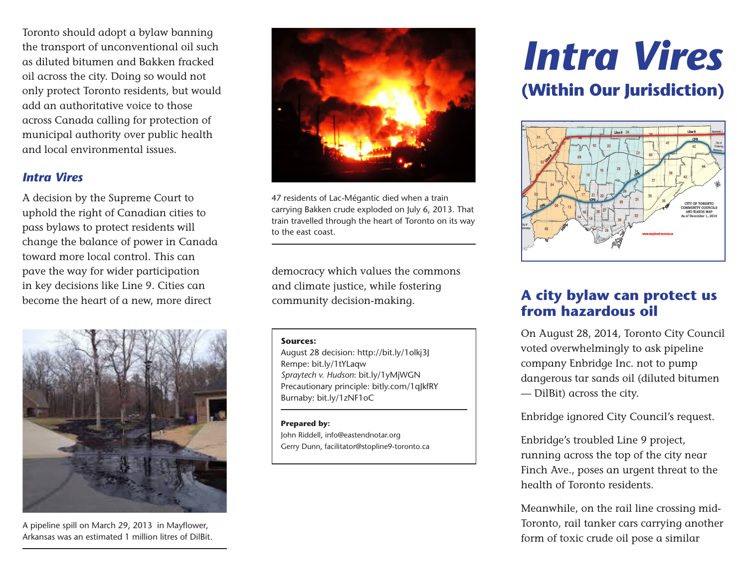Toronto should adopt a bylaw banning the transport of unconventional oil such as diluted bitumen and Bakken fracked oil across the city. Doing so would not only protect Toronto residents, but would add an authoritative voice to those across Canada calling for protection of municipal authority over public health and local environmental issues.

# *Intra Vires*

A decision by the Supreme Court to uphold the right of Canadian cities to pass bylaws to protect residents will change the balance of power in Canada toward more local control. This can pave the way for wider participation in key decisions like Line 9. Cities can become the heart of a new, more direct



A pipeline spill on March 29, 2013 in Mayflower, Arkansas was an estimated 1 million litres of DilBit.



47 residents of Lac-Mégantic died when a train carrying Bakken crude exploded on July 6, 2013. That train travelled through the heart of Toronto on its way to the east coast.

democracy which values the commons and climate justice, while fostering community decision-making.

### **Sources:**

August 28 decision: http://bit.ly/1olkj3J Rempe: bit.ly/1tYLaqw *Spraytech v. Hudson*: bit.ly/1yMjWGN Precautionary principle: bitly.com/1qJkfRY Burnaby: bit.ly/1zNF1oC

### **Prepared by:**

John Riddell, info@eastendnotar.org Gerry Dunn, facilitator@stopline9-toronto.ca

# *Intra Vires* **(Within Our Jurisdiction)**



# **A city bylaw can protect us from hazardous oil**

On August 28, 2014, Toronto City Council voted overwhelmingly to ask pipeline company Enbridge Inc. not to pump dangerous tar sands oil (diluted bitumen — DilBit) across the city.

Enbridge ignored City Council's request.

Enbridge's troubled Line 9 project, running across the top of the city near Finch Ave., poses an urgent threat to the health of Toronto residents.

Meanwhile, on the rail line crossing mid-Toronto, rail tanker cars carrying another form of toxic crude oil pose a similar